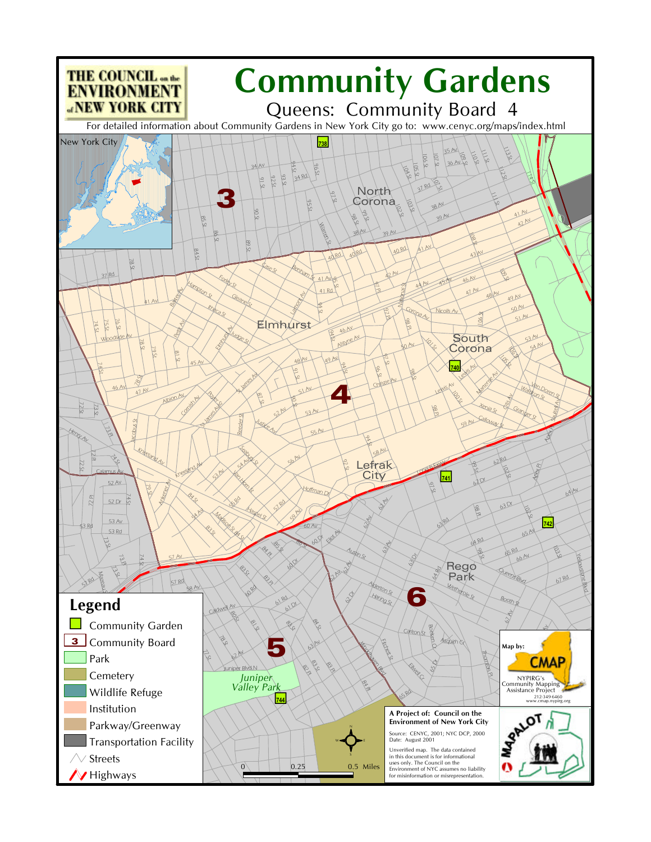